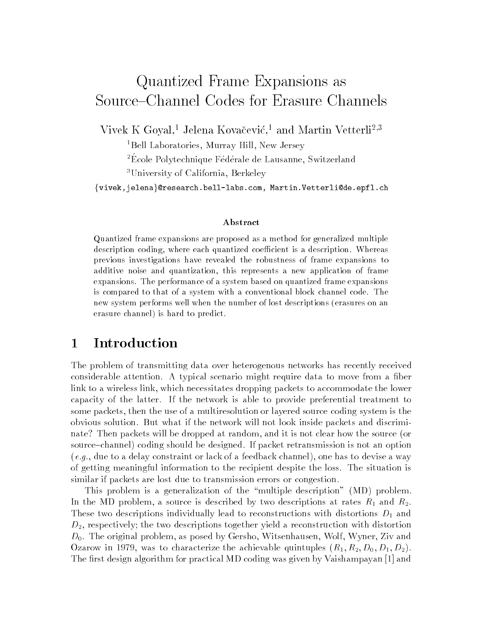# Quantized Frame Expansions as Source–Channel Codes for Erasure Channels

Vivek K Goyal." Jeleha Kovacevic." and Martin Vetterli-''

<sup>1</sup>Bell Laboratories, Murray Hill, New Jersey

Ecole P olytechnique Federale de Lausanne Switzerland

University of California, Berkeley –

 $\{ {\tt view}$ ,jelena $\}$ @research.bell-labs.com, Martin.Vetterli@de.epfl.ch

#### Abstract

Quantized frame expansions are proposed as a method for generalized multipledescription coding where each quantized coecient is a description- Whereasprevious investigations have revealed the robustness of frame expansions toadditive noise and quantization, this represents a new application of frame expansions- The performance of a system based on quantized frame expansionsis compared to that of a system with a conventional block channel code- Thenew system performs well when the number of lost descriptions (erasures on an erasure channel) is hard to predict.

#### Introduction

The problem of transmitting data over heterogenous networks has recently received considerable attention- A typical scenario might require data to move from a ber link to a wireless link, which necessitates dropping packets to accommodate the lower capacity of the latter- If the network is able to provide preferential treatment to some packets, then the use of a multiresolution or layered source coding system is the obvious solution. If the network will not look if the network will not look it the network will not an and dis nate? Then packets will be dropped at random, and it is not clear how the source (or source is not announced-designed-designed-designed-designed-designed-designed-designed-designed-designed-designed- $(e.g., due to a delay constraint or lack of a feedback channel), one has to devise a way$ of getting meaningful information to the recipient despite the loss-situation is similar if packets are lost due to transmission errors or congestion-

This problem is a generalization of the multiple description MD problem-In the MD problem, a source is described by two descriptions at rates  $R_1$  and  $R_2$ . These two descriptions individually lead to reconstructions with distortions  $D_1$  and  $D_2$ , respectively; the two descriptions together yield a reconstruction with distortion D- The original problem as posed by Gersho Witsenhausen Wolf Wyner Ziv and Ozarow in 1979, was to characterize the achievable quintuples  $(R_1, R_2, D_0, D_1, D_2)$ . The first design algorithm for practical MD coding was given by Vaishampayan [1] and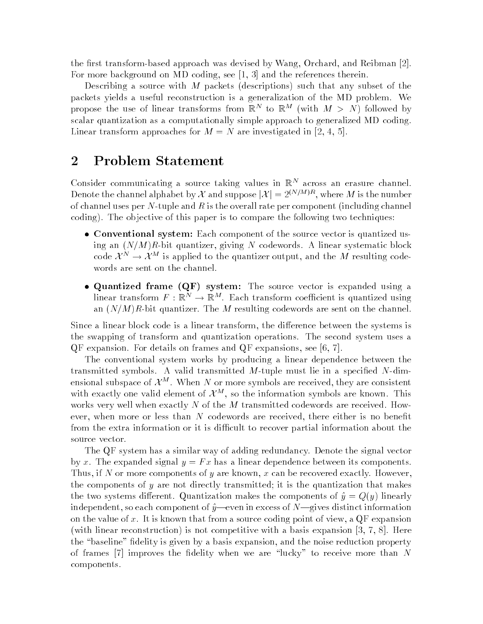the rst transformbased approach was devised by Wang- Orchard- and Reibman For more background on MD coding- see - and the references therein

describing a source with M packets (with the packets) such that any subset of the such packets yields a useful reconstruction is a generalization of the MD problem We propose the use of linear transforms from  $\mathbb{R}^+$  to  $\mathbb{R}^+$  (with  $M \geq N$ ) followed by scalar quantization as a computationally simple approach to generalized MD coding Linear transform approaches for <sup>M</sup> <sup>N</sup> are investigated in - -

### Problem Statement

Uonsider communicating a source taking values in  $\mathbb{K}^+$  across an erasure channel. Denote the channel alphabet by  $\Lambda$  and suppose  $\vert A\vert = 2^{n+\gamma+\gamma-\gamma}$ , where M is the number of channel uses per  $N$ -tuple and  $R$  is the overall rate per component (including channel coding, the observed of this paper is to compare the following two techniques.

- Conventional system: Each component of the source vector is quantized using an  $\mathcal{C}$  and  $\mathcal{C}$  are  $\mathcal{C}$  and  $\mathcal{C}$  and  $\mathcal{C}$  . The systematic block of  $\mathcal{C}$ code  $\lambda \rightarrow \lambda$   $\alpha$  is applied to the quantizer output, and the *M* resulting codewords are sent on the channel
- Quantized frame QF- system The source vector is expanded using a imear transform  $F: \mathbb{R}^n \to \mathbb{R}^m$ . Each transform coefficient is quantized using and  $\mathcal{C}$  , and the M resulting codewords are sent on the channel on the channel on the channel on the channel on

Since a linear block code is a linear transform- the dierence between the systems is the swapping of transform and quantization operations The second system uses a QF expansion For details on frames and QF expansions- see -

The conventional system works by producing a linear dependence between the transmitted symbols. A valid transmitted M-tuple must lie in a specified N-dimensional subspace of  $\mathcal{X}^{**}$  . When *I*V or more symbols are received, they are consistent with exactly one valid element of  $\mathcal{X}^{**}$ , so the information symbols are known. This works very well when exactly N of the M transmitted codewords are received. However, when there are the structure are received-than there either increase the structure is no benefit. from the extra information or it is difficult to recover partial information about the source vector

The QF system has a similar way of adding redundancy Denote the signal vector by x. The expanded signal  $y = Fx$  has a linear dependence between its components. Thus- if <sup>N</sup> or more components of <sup>y</sup> are known- <sup>x</sup> can be recovered exactly Howeverthe components of  $y$  are not directly transmitted; it is the quantization that makes the two systems dierent Quantization makes the components of y Q y linearly independent- so each component of yeven in excess of Ngives distinct information on the value of  $\alpha$  is the source that from a source coding point of view-  $\alpha$  ,  $q_{\rm F}$  expansions with linear reconstruction  $\mathbf{I}$  , and competitive with a basis expansion  $\mathbf{I}$  , and  $\mathbf{I}$ the baseline delity is given by a basis expansion- and the noise reduction property of frames  $|7|$  improves the fidelity when we are "lucky" to receive more than N components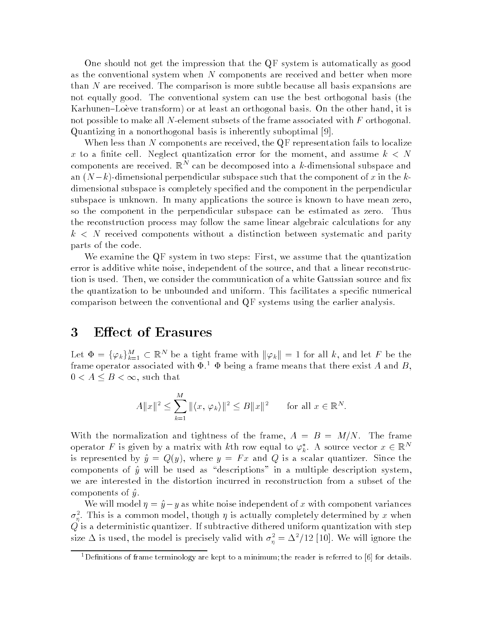One should not get the impression that the QF system is automatically as good as the conventional system when  $N$  components are received and better when more than  $N$  are received. The comparison is more subtle because all basis expansions are not equally good. The conventional system can use the best orthogonal basis (the Karhunen-Loeve transform or at least an orthogonal basis On the other hand it is not possible to make all N-element subsets of the frame associated with  $F$  orthogonal. Quantizing in a nonorthogonal basis is inherently suboptimal 

When less than  $N$  components are received, the QF representation fails to localize x to a and the cell and  $\alpha$  and  $\alpha$  are more than the moment assume  $\alpha$  assume that  $\alpha$ components are received.  $\mathbb{R}^+$  can be decomposed into a  $\kappa$  dimensional subspace and an  $(N-k)$ -dimensional perpendicular subspace such that the component of x in the kdimensional subspace is completely specific in the component in the component in the perpendicular in the per subspace is unknown. In many applications the source is known to have mean zero, so the component in the perpendicular subspace can be estimated as zero. Thus the reconstruction process may follow the same linear algebraic calculations for any  $k\leq N$  received components without a distinction between systematic and parity parts of the code

We examine the  $\mathbf{Q}$ F system in two steps: First, we assume that the quantization error is additive white noise, independent of the source, and that a linear reconstruction is used Then we communicate the communication of a white Gaussian source and a white Gaussian source and the quantization to be unbounded and uniform This facilitates a speci c numerical comparison between the conventional and QF systems using the earlier analysis

#### 3 Effect of Erasures

Let  $\Phi = \{\varphi_k\}_{k=1}^M \subset \mathbb{R}^N$  be a tight frame with  $\|\varphi_k\| = 1$  for all k, and let F be the frame operator associated with  $\Psi$ .  $\ \Psi$  being a frame means that there exist A and  $B$  ,  $0 < A \leq B < \infty$ , such that

$$
A||x||^2 \le \sum_{k=1}^M ||\langle x, \varphi_k \rangle||^2 \le B||x||^2 \quad \text{for all } x \in \mathbb{R}^N.
$$

With the normalization and tightness of the frame,  $A = B = M/N$ . The frame operator F is given by a matrix with kth row equal to  $\varphi_k^*$ . A source vector  $x \in \mathbb{R}^n$ is represented by  $\hat{y} = Q(y)$ , where  $y = Fx$  and Q is a scalar quantizer. Since the components of  $\hat{y}$  will be used as "descriptions" in a multiple description system, we are interested in the distortion incurred in reconstruction from a subset of the components of  $\hat{y}$ .

We will model  $\eta = \hat{y} - y$  as white noise independent of x with component variances  $\sigma_{\bar{n}}^-$  . This is a common model, though  $\eta$  is actually completely determined by  $x$  when  $Q$  is a deterministic quantizer. If subtractive dithered uniform quantization with step size  $\Delta$  is used, the model is precisely valid with  $\sigma_n^{\perp} = \Delta^{\perp}/12$  [10]. We will ignore the

 $\,$  Definitions of frame terminology are kept to a minimum the reader is referred to ibi for details  $\,$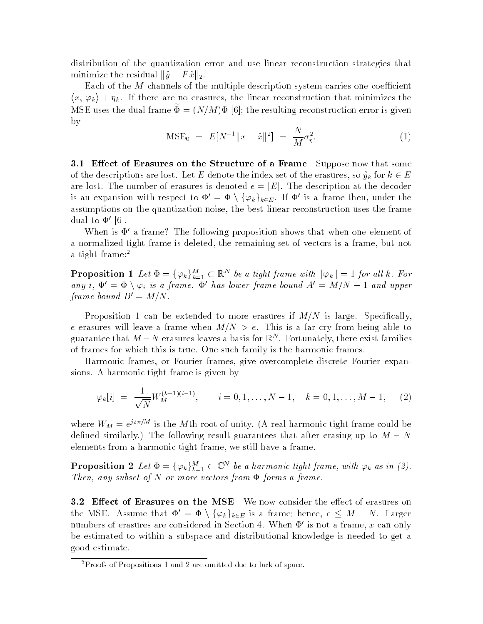distribution of the quantization error and use linear reconstruction strategies that minimize the residual  $\|\hat{y} - F\hat{x}\|_2$ .

Each of the M channels of the multiple description system carries one coe-cient  $\langle x,\,\varphi_k\rangle + \eta_k.$  If there are no erasures, the linear reconstruction that minimizes the MSE uses the qualiframe  $\Psi = (N/M) \Psi$  [0]; the resulting reconstruction error is given by

$$
\text{MSE}_0 = E[N^{-1} \|x - \hat{x}\|^2] = \frac{N}{M} \sigma_\eta^2. \tag{1}
$$

- Eect of Erasures on the Structure of a Frame Suppose now that some of the descriptions are lost. Let E denote the index set of the erasures, so  $\hat{y}_k$  for  $k \in E$ are lost. The number of erasures is denoted  $e = |E|$ . The description at the decoder is an expansion with respect to  $\Phi' = \Phi \setminus {\{\varphi_k\}}_{k\in E}$ . If  $\Phi'$  is a frame then, under the assumptions on the quantization noise, the best linear reconstruction uses the frame dual to 

When is  $\Phi'$  a frame? The following proposition shows that when one element of a normalized tight frame is deleted, the remaining set of vectors is a frame, but not a tight frame:<sup>2</sup>

**Proposition 1** Let  $\Phi = \{\varphi_k\}_{k=1}^M \subset \mathbb{R}^N$  be a tight frame with  $\|\varphi_k\| = 1$  for all k. For any i,  $\Phi' = \Phi \setminus \varphi_i$  is a frame.  $\Phi'$  has lower frame bound  $A' = M/N - 1$  and upper frame bound  $D = M/N$ .

Proposition 1 can be extended to more erasures if  $M/N$  is large. Specifically, e erasures will leave a frame when  $M/N > e$ . This is a far cry from being able to guarantee that  $M - N$  erasures leaves a basis for  $\mathbb{R}^n$  . Fortunately, there exist families of frames for which this is true One such family is the harmonic frames

Harmonic frames, or Fourier frames, give overcomplete discrete Fourier expansions A harmonic tight frame is given by

$$
\varphi_k[i] = \frac{1}{\sqrt{N}} W_M^{(k-1)(i-1)}, \qquad i = 0, 1, \dots, N-1, \quad k = 0, 1, \dots, M-1, \quad (2)
$$

where  $W_M = e^{j \pi \gamma + \epsilon}$  is the M th root of unity. (A real harmonic tight frame could be defined similarly.) The following result guarantees that after erasing up to  $M - N$ elements from a harmonic tight frame, we still have a frame.

**Proposition 2** Let  $\Phi = \{\varphi_k\}_{k=1}^M \subset \mathbb{C}^N$  be a harmonic tight frame, with  $\varphi_k$  as in (2). Then any subset of it of more vectors from  $\bm{x}$  forms a frame.

3.2 Effect of Erasures on the MSE We now consider the effect of erasures on the MSE. Assume that  $\Phi' = \Phi \setminus \{\varphi_k\}_{k \in E}$  is a frame; hence,  $e \leq M - N$ . Larger numbers of erasures are considered in Section 4. When  $\Phi'$  is not a frame, x can only be estimated to within a subspace and distributional knowledge is needed to get a good estimate

<sup>&</sup>lt;sup>2</sup>Proofs of Propositions 1 and 2 are omitted due to lack of space.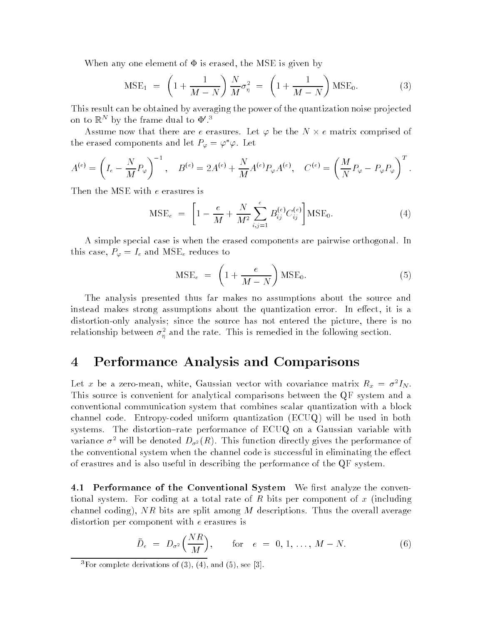When any one element of  $\Phi$  is erased, the MSE is given by

$$
MSE_1 = \left(1 + \frac{1}{M - N}\right) \frac{N}{M} \sigma_{\eta}^2 = \left(1 + \frac{1}{M - N}\right) MSE_0.
$$
 (3)

This result can be obtained by averaging the power of the quantization noise projected on to  $\mathbb{R}^+$  by the frame dual to  $\Psi$  .  $\tilde{\phantom{a}}$ 

assume are the that there are e erasures Let - pare are the the Matrix compression of the N  $\alpha$ the erased components and let  $F_{\varphi} = \varphi \varphi$ . Let

$$
A^{(e)} = \left(I_e - \frac{N}{M}P_{\varphi}\right)^{-1}, \quad B^{(e)} = 2A^{(e)} + \frac{N}{M}A^{(e)}P_{\varphi}A^{(e)}, \quad C^{(e)} = \left(\frac{M}{N}P_{\varphi} - P_{\varphi}P_{\varphi}\right)^{T}.
$$

Then the MSE with e erasures is

$$
\text{MSE}_{e} = \left[1 - \frac{e}{M} + \frac{N}{M^{2}} \sum_{i,j=1}^{e} B_{ij}^{(e)} C_{ij}^{(e)}\right] \text{MSE}_{0}.
$$
 (4)

A simple special case is when the erased components are pairwise orthogonal In this case P - Ie and MSEE reduces to the C - Ie and MSEE reduces to the MSEE reduces to the MSEE reduces to th

$$
\text{MSE}_{e} = \left(1 + \frac{e}{M - N}\right) \text{MSE}_{0}.
$$
\n(5)

The analysis presented thus far makes no assumptions about the source and instead makes strong assumptions about the quantization error. In effect, it is a distortion only analysis; since the source has not entered the picture, there is no relationship between  $\sigma_n^2$  and the rate. This is remedied in the following section.

## Performance Analysis and Comparisons

Let  $x$  be a zero-mean, white, Gaussian vector with covariance matrix  $\bar{R}_x \, = \, \sigma^- \bar{I}_N.$ This source is convenient for analytical comparisons between the QF system and a conventional communication system that combines scalar quantization with a block channel code. Entropy-coded uniform quantization (ECUQ) will be used in both systems. The distortion-rate performance of  $ECUQ$  on a Gaussian variable with variance  $\sigma^2$  will be denoted  $D_{\sigma^2}(R)$ . This function directly gives the performance of the conventional system when the channel code is successful in eliminating the effect of erasures and is also useful in describing the performance of the QF system

- Performance of the Conventional System We rst analyze the conven tional system. For coding at a total rate of R bits per component of x (including channel coding), NR bits are split among M descriptions. Thus the overall average distortion per component with e erasures is

$$
\bar{D}_e = D_{\sigma^2}\left(\frac{NR}{M}\right), \quad \text{for} \quad e = 0, 1, \dots, M - N. \tag{6}
$$

 $\,$  -  $\,$  ror complete derivations of (3), (4), and (3). see (3).  $\,$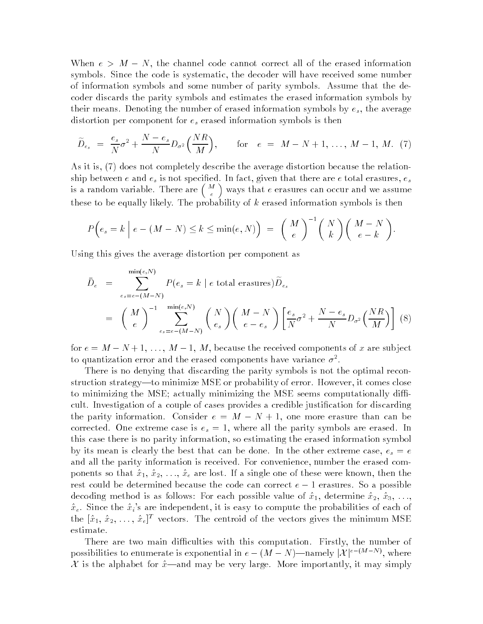When  $e > M - N$ , the channel code cannot correct all of the erased information symbols. Since the code is systematic, the decoder will have received some number of information symbols and some number of parity symbols Assume that the decoder discards the parity symbols and estimates the erased information symbols by their means. Denoting the number of erased information symbols by  $e_s$ , the average distortion per component for  $e_s$  erased information symbols is then

$$
\widetilde{D}_{e_s} = \frac{e_s}{N} \sigma^2 + \frac{N - e_s}{N} D_{\sigma^2} \left( \frac{NR}{M} \right), \quad \text{for} \quad e = M - N + 1, \dots, M - 1, M. \tag{7}
$$

As it is,  $(7)$  does not completely describe the average distortion because the relationship between e and  $e_s$  is not specified. In fact, given that there are e total erasures,  $e_s$ is a random variable. There are  $\binom{M}{e}$  ways that e erasures can occur and we assume these to be equally likely. The probability of  $k$  erased information symbols is then

$$
P\left(e_s = k \mid e - (M - N) \le k \le \min(e, N)\right) = {M \choose e}^{-1} {N \choose k} {M - N \choose e - k}.
$$

Using this gives the average distortion per component as

$$
\bar{D}_e = \sum_{e_s = e - (M - N)}^{\min(e, N)} P(e_s = k \mid e \text{ total erasures}) \tilde{D}_{e_s}
$$
\n
$$
= \left(\begin{array}{c} M \\ e \end{array}\right)^{-1} \sum_{e_s = e - (M - N)}^{\min(e, N)} \left(\begin{array}{c} N \\ e_s \end{array}\right) \left(\begin{array}{c} M - N \\ e - e_s \end{array}\right) \left[\frac{e_s}{N} \sigma^2 + \frac{N - e_s}{N} D_{\sigma^2} \left(\frac{NR}{M}\right)\right] \tag{8}
$$

for  $v = M - 1$ ,  $v = 1$ ,  $v = 1$ ,  $v = 1$ ,  $v = 1$ , we can consider the received components of we can perform to quantization error and the erased components have variance  $\sigma$ .

There is no denying that discarding the parity symbols is not the optimal reconstruction strategy—to minimize MSE or probability of error. However, it comes close to minimizing the MSE; actually minimizing the MSE seems computationally difficult. Investigation of a couple of cases provides a credible justification for discarding the parity information. Consider  $e = M - N + 1$ , one more erasure than can be corrected. One extreme case is  $e_s = 1$ , where all the parity symbols are erased. In this case there is no parity information, so estimating the erased information symbol by its mean is clearly the best that can be done. In the other extreme case,  $e_s = e$ and all the parity information is received. For convenience, number the erased components so that  $\hat{x}_1, \hat{x}_2, \ldots, \hat{x}_e$  are lost. If a single one of these were known, then the rest could be determined because the code can correct  $e-1$  erasures. So a possible decoding method is as follows: For each possible value of  $\hat{x}_1$ , determine  $\hat{x}_2$ ,  $\hat{x}_3$ , ...,  $\hat{x}_{\varepsilon}$ . Since the  $\hat{x}_{i}$ 's are independent, it is easy to compute the probabilities of each of the  $|x_1, x_2, \ldots, x_{\epsilon}|^{\dagger}$  vectors. The centroid of the vectors gives the minimum MSE estimate

There are two main difficulties with this computation. Firstly, the number of possibilities to enumerate is exponential in  $e - (M - N)$ —namely  $|{\cal X}|^{e-(M-1)}$ , where  $\mathcal X$  is the alphabet for  $\hat x$ —and may be very large. More importantly, it may simply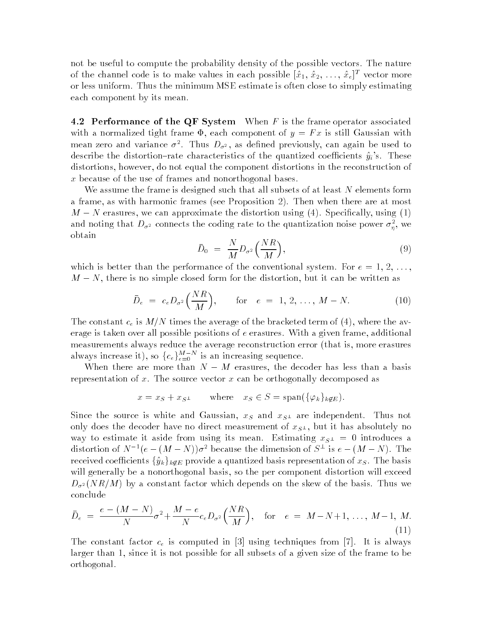not be useful to compute the probability density of the possible vectors. The nature of the channel code is to make values in each possible  $[x_1, x_2, \ldots, x_e]$  - vector more or less uniform Thus the minimum MSE estimate is often close to simply estimatingeach component by its mean

**T.4 I** CHOHIRANCE OF the QF System WYNCH F is the frame operator associated with a normalized tight frame  $\mathfrak{r}$ , each component of  $y = 1$   $x$  is still Gaussian with mean zero and variance  $\sigma$  . Thus  $D_{\sigma^2},$  as defined previously, can again be used to describe the distortion rate characteristics or the quantized coemercino  $g_i$  s. These distortions, however, do not equal the component distortions in the reconstruction of  $x$  because of the use of frames and nonorthogonal bases.

We assume the frame is designed such that all subsets of at least <sup>N</sup> elements form a frame, as with harmonic frames (see Proposition 2). Then when there are at most  $M-N$  erasures, we can approximate the distortion using (4). Specifically, using (1) and noting that  $D_{\sigma^2}$  connects the coding rate to the quantization noise power  $\sigma_n^z$ , we obtain

$$
\bar{D}_0 = \frac{N}{M} D_{\sigma^2} \left( \frac{NR}{M} \right), \tag{9}
$$

which is better than the performance of the conventional system. For  $e = 1, 2, \ldots$  $M - N$ , there is no simple closed form for the distortion, but it can be written as

$$
\bar{D}_e = c_e D_{\sigma^2} \left( \frac{NR}{M} \right), \quad \text{for} \quad e = 1, 2, \dots, M - N. \tag{10}
$$

The constant  $c_{\ell}$  is  $m/n$  thirds the average of the bracketed term of  $(\pm)$ , where the average is taken over all possible positions of <sup>e</sup> erasures With a given frame additional measurements always reduce the average reconstruction error (that is, more erasures always increase it), so  ${c_e}_{e=0}^{M-N}$  is an increasing sequence.

When there are more than  $N = M$  erasures, the decoder has less than a basis representation of x The source vector <sup>x</sup> can be orthogonally decomposed as

$$
x = x_S + x_{S^{\perp}}
$$
 where  $x_S \in S = \text{span}(\{\varphi_k\}_{k \notin E})$ .

Since the source is white and Gaussian,  $x_S$  and  $x_{S\perp}$  are independent. Thus not only does the decoder have no direct measurement or  $x_{S_{+}}$ , but it has absolutely no way to estimate it aside from using its mean. Estimating  $x_{S}$  =  $\sim$  0 meroduces a distortion of N- $e - (M - N) \sigma$  because the dimension of  $S^+$  is  $e - (M - N)$ . The received coefficients  $\{\hat{y}_k\}_{k\notin E}$  provide a quantized basis representation of  $x_S$  . The basis will generally be a nonorthogonal basis, so the per component distortion will exceed  $D_{\sigma^2}(NR/M)$  by a constant factor which depends on the skew of the basis. Thus we conclude

$$
\bar{D}_e = \frac{e - (M - N)}{N} \sigma^2 + \frac{M - e}{N} c_e D_{\sigma^2} \left(\frac{NR}{M}\right), \quad \text{for} \quad e = M - N + 1, \dots, M - 1, M. \tag{11}
$$

The constant factor ce is computed in using techniques from It is always larger than 1, since it is not possible for all subsets of a given size of the frame to be orthogonal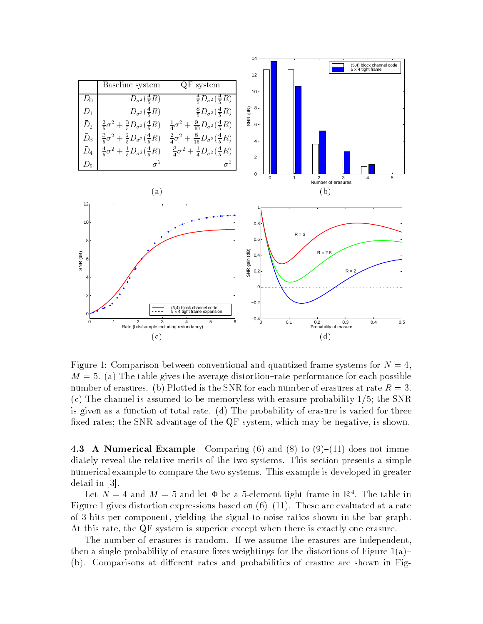

Figure Comparison between conventional and quantized frame systems for <sup>N</sup> m - a the table the average the average distortion performance for each possible possible. number of erasures by Plotted is the SNR for each number of erasures at rate R - SNR for each number of each  $\sim$ (c) The channel is assumed to be memoryless with erasure probability  $1/5$ ; the SNR is given as a function of total rate.  $(d)$  The probability of erasure is varied for three fixed rates; the SNR advantage of the QF system, which may be negative, is shown.

- A Numerical Example Comparing Comparing Comparing Comparing Comparing Comparing Comparing Comparing Comparing Comparing Comparing Comparing Comparing Comparing Comparing Comparing Comparing Comparing Comparing Comparing C diately reveal the relative merits of the two systems This section presents a simple numerical example to compare the two systems. This example is developed in greater  $\alpha$  is the set of  $\alpha$  in the set of  $\alpha$ 

Let  $N = 4$  and  $M = 3$  and let  $\Psi$  be a 3-element tight frame in  $\mathbb{R}^+$ . The table in Figure 1 gives distortion expressions based on  $(6)$ – $(11)$ . These are evaluated at a rate of bits per component yielding the signaltonoise ratios shown in the bar graph At this rate, the QF system is superior except when there is exactly one erasure.

The number of erasures is random. If we assume the erasures are independent, then a single probability of erasure fixes weightings for the distortions of Figure  $1(a)$ -(b). Comparisons at different rates and probabilities of erasure are shown in Fig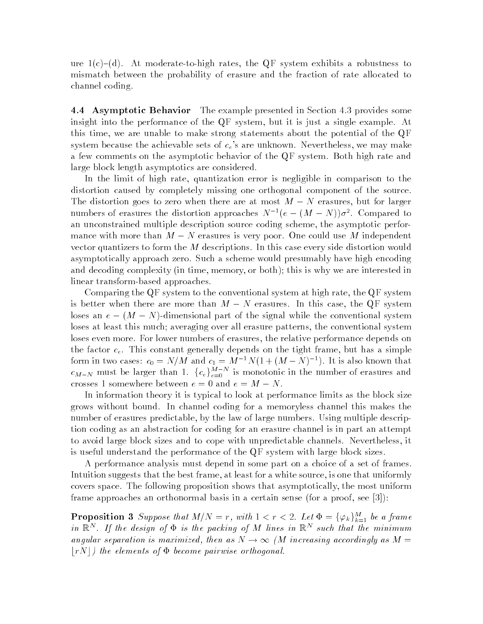ure c-d- At moderatetohigh rates the QF system exhibits a robustness to mismatch between the probability of erasure and the fraction of rate allocated to channel coding

**4.4 Asymptotic Behavior** The example presented in Section 4.3 provides some insight into the performance of the QF system, but it is just a single example. At this time, we are unable to make strong statements about the potential of the  $\mathrm{QF}$ system because the achievable sets of  $c_e$ 's are unknown. Nevertheless, we may make a few comments on the asymptotic behavior of the QF system. Both high rate and large block length asymptotics are considered

In the limit of high rate, quantization error is negligible in comparison to the distortion caused by completely missing one orthogonal component of the source. The distortion goes to zero when there are at most  $M - N$  erasures, but for larger numbers of erasures the distortion approaches  $N^{-1}(e-(M-N))\sigma^2$ . Compared to an unconstrained multiple description source coding scheme, the asymptotic performance with more than  $M - N$  erasures is very poor. One could use M independent vector quantizers to form the <sup>M</sup> descriptions In this case every side distortion would asymptotically approach zero. Such a scheme would presumably have high encoding and decomplexity in the memory or both-interested in this is why we are interested into the complete interest linear transform-based approaches.

Comparing the  $\mathbf{Q}F$  system to the conventional system at high rate, the  $\mathbf{Q}F$  system is better when there are more than  $M - N$  erasures. In this case, the QF system loses an  $e = (m - N)$ -unifensional part of the signal while the conventional system loses at least this much averaging over all erasure patterns the conventional system loses even more. For lower numbers of erasures, the relative performance depends on the factor  $c_{\epsilon}$ . This constant generally depends on the tight frame, but has a simple form in two cases:  $c_0 = N/M$  and  $c_1 = M^{-1}N(1 + (M - N)^{-1})$ . It is also known that  $c_{M-N}$  must be larger than 1.  $\{c_e\}_{e=0}^{M-N}$  is monotonic in the number of erasures and crosses 1 somewhere between  $e = 0$  and  $e = M - N$ .

In information theory it is typical to look at performance limits as the block size grows without bound In channel coding for a memoryless channel this makes the number of erasures predictable, by the law of large numbers. Using multiple description coding as an abstraction for coding for an erasure channel is in part an attempt to avoid large block sizes and to cope with unpredictable channels. Nevertheless, it is useful understand the performance of the QF system with large block sizes

A performance analysis must depend in some part on a choice of a set of frames Intuition suggests that the best frame, at least for a white source, is one that uniformly covers space The following proposition shows that asymptotically the most uniform frame approaches an orthonormal basis in a certain sense for a proof see -

**Proposition 3** Suppose that  $M/N = r$ , with  $1 < r < 2$ . Let  $\Phi = {\{\varphi_k\}}_{k=1}^M$  be a frame in  $\mathbb{R}^n$ . If the design of  $\Psi$  is the packing of M lines in  $\mathbb{R}^n$  such that the minimum angular separation is maximized, then as  $N \to \infty$  (M increasing accordingly as  $M =$  $\lfloor rN \rfloor$  the elements of  $\Phi$  become pairwise orthogonal.